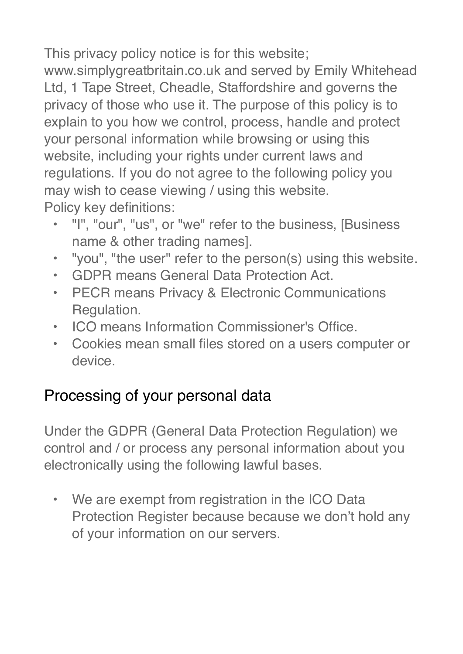This privacy policy notice is for this website;

www.simplygreatbritain.co.uk and served by Emily Whitehead Ltd, 1 Tape Street, Cheadle, Staffordshire and governs the privacy of those who use it. The purpose of this policy is to explain to you how we control, process, handle and protect your personal information while browsing or using this website, including your rights under current laws and regulations. If you do not agree to the following policy you may wish to cease viewing / using this website. Policy key definitions:

- "I", "our", "us", or "we" refer to the business, [Business name & other trading names].
- "you", "the user" refer to the person(s) using this website.
- GDPR means General Data Protection Act.
- PECR means Privacy & Electronic Communications Regulation.
- ICO means Information Commissioner's Office.
- Cookies mean small files stored on a users computer or device.

## Processing of your personal data

Under the GDPR (General Data Protection Regulation) we control and / or process any personal information about you electronically using the following lawful bases.

We are exempt from registration in the ICO Data Protection Register because because we don't hold any of your information on our servers.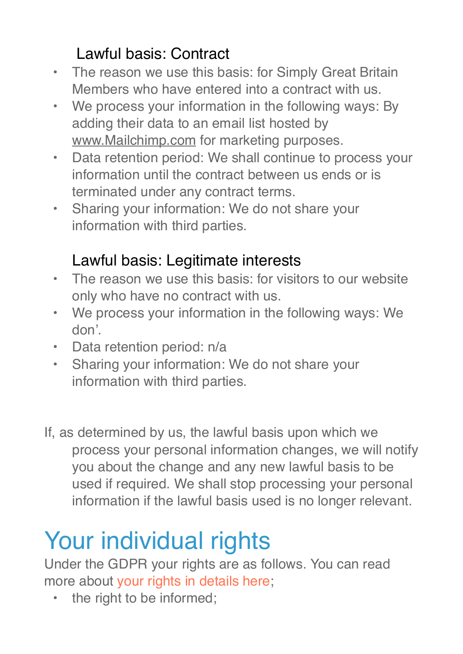# Lawful basis: Contract

- The reason we use this basis: for Simply Great Britain Members who have entered into a contract with us.
- We process your information in the following ways: By adding their data to an email list hosted by [www.Mailchimp.com](http://www.Mailchimp.com) for marketing purposes.
- Data retention period: We shall continue to process your information until the contract between us ends or is terminated under any contract terms.
- Sharing your information: We do not share your information with third parties.

## Lawful basis: Legitimate interests

- The reason we use this basis: for visitors to our website only who have no contract with us.
- We process your information in the following ways: We don'.
- Data retention period: n/a
- Sharing your information: We do not share your information with third parties.
- If, as determined by us, the lawful basis upon which we process your personal information changes, we will notify you about the change and any new lawful basis to be used if required. We shall stop processing your personal information if the lawful basis used is no longer relevant.

# Your individual rights

Under the GDPR your rights are as follows. You can read more about [your rights in details here](https://ico.org.uk/for-organisations/guide-to-the-general-data-protection-regulation-gdpr/individual-rights/);

• the right to be informed;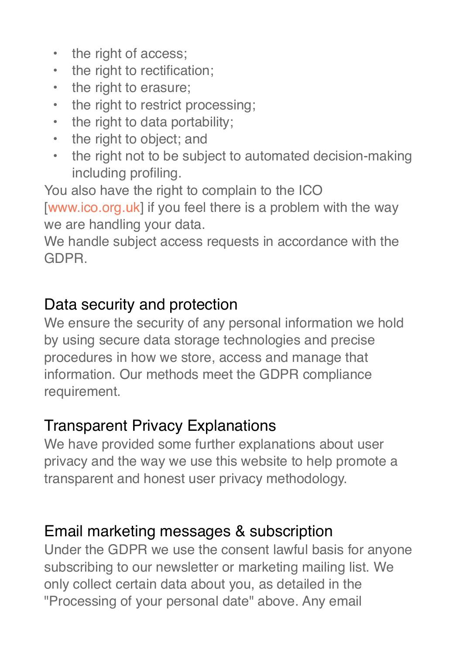- the right of access;
- the right to rectification;
- the right to erasure;
- the right to restrict processing;
- the right to data portability;
- the right to object; and
- the right not to be subject to automated decision-making including profiling.

You also have the right to complain to the ICO

[[www.ico.org.uk](http://www.ico.org.uk/)] if you feel there is a problem with the way we are handling your data.

We handle subject access requests in accordance with the GDPR.

#### Data security and protection

We ensure the security of any personal information we hold by using secure data storage technologies and precise procedures in how we store, access and manage that information. Our methods meet the GDPR compliance requirement.

### Transparent Privacy Explanations

We have provided some further explanations about user privacy and the way we use this website to help promote a transparent and honest user privacy methodology.

### Email marketing messages & subscription

Under the GDPR we use the consent lawful basis for anyone subscribing to our newsletter or marketing mailing list. We only collect certain data about you, as detailed in the "Processing of your personal date" above. Any email